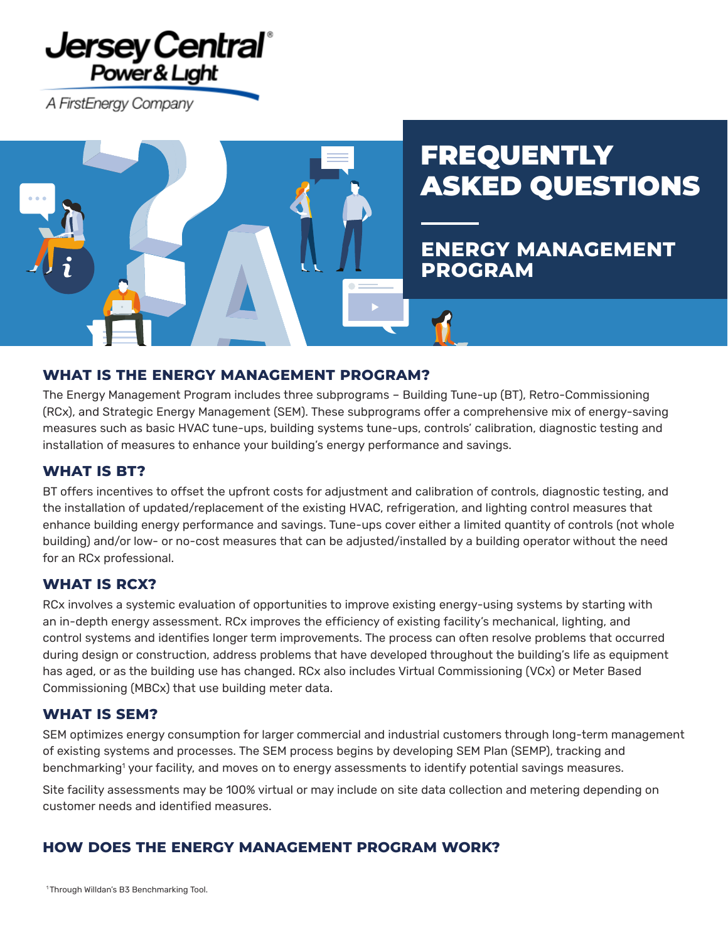## **Jersey Central** Power & Light

A FirstEnergy Company



# **FREQUENTLY** ASKED QUESTIONS

**ENERGY MANAGEMENT PROGRAM**

## **WHAT IS THE ENERGY MANAGEMENT PROGRAM?**

The Energy Management Program includes three subprograms – Building Tune-up (BT), Retro-Commissioning (RCx), and Strategic Energy Management (SEM). These subprograms offer a comprehensive mix of energy-saving measures such as basic HVAC tune-ups, building systems tune-ups, controls' calibration, diagnostic testing and installation of measures to enhance your building's energy performance and savings.

## **WHAT IS BT?**

BT offers incentives to offset the upfront costs for adjustment and calibration of controls, diagnostic testing, and the installation of updated/replacement of the existing HVAC, refrigeration, and lighting control measures that enhance building energy performance and savings. Tune-ups cover either a limited quantity of controls (not whole building) and/or low- or no-cost measures that can be adjusted/installed by a building operator without the need for an RCx professional.

## **WHAT IS RCX?**

RCx involves a systemic evaluation of opportunities to improve existing energy-using systems by starting with an in-depth energy assessment. RCx improves the efficiency of existing facility's mechanical, lighting, and control systems and identifies longer term improvements. The process can often resolve problems that occurred during design or construction, address problems that have developed throughout the building's life as equipment has aged, or as the building use has changed. RCx also includes Virtual Commissioning (VCx) or Meter Based Commissioning (MBCx) that use building meter data.

## **WHAT IS SEM?**

SEM optimizes energy consumption for larger commercial and industrial customers through long-term management of existing systems and processes. The SEM process begins by developing SEM Plan (SEMP), tracking and benchmarking<sup>1</sup> your facility, and moves on to energy assessments to identify potential savings measures.

Site facility assessments may be 100% virtual or may include on site data collection and metering depending on customer needs and identified measures.

## **HOW DOES THE ENERGY MANAGEMENT PROGRAM WORK?**